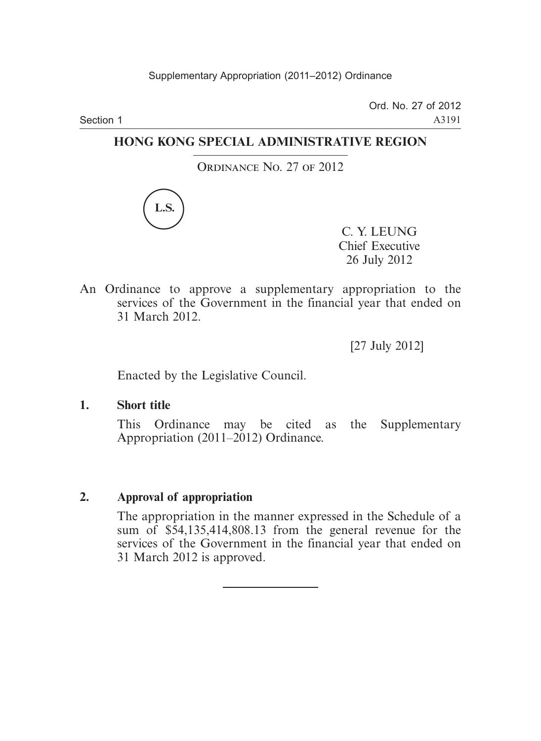Section 1

Ord. No. 27 of 2012 A3191

## **HONG KONG SPECIAL ADMINISTRATIVE REGION**

ORDINANCE NO. 27 OF 2012



C. Y. LEUNG Chief Executive 26 July 2012

An Ordinance to approve a supplementary appropriation to the services of the Government in the financial year that ended on 31 March 2012.

[27 July 2012]

Enacted by the Legislative Council.

**1. Short title**

This Ordinance may be cited as the Supplementary Appropriation (2011–2012) Ordinance.

## **2. Approval of appropriation**

The appropriation in the manner expressed in the Schedule of a sum of \$54,135,414,808.13 from the general revenue for the services of the Government in the financial year that ended on 31 March 2012 is approved.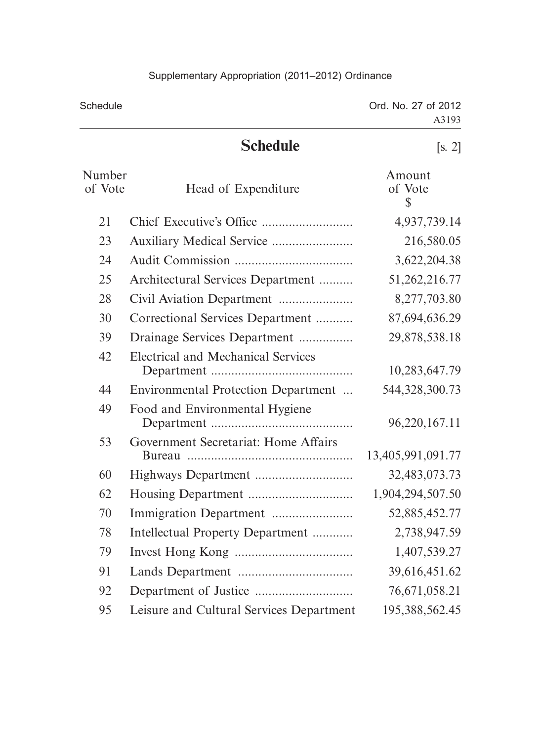| Schedule          |                     | Ord. No. 27 of 2012<br>A3193 |
|-------------------|---------------------|------------------------------|
|                   | <b>Schedule</b>     | $\left[ \text{s. 2} \right]$ |
| Number<br>of Vote | Head of Expenditure | Amount<br>of Vote            |

| t Vote | Head of Expenditure                       | of Vote<br>S      |
|--------|-------------------------------------------|-------------------|
| 21     |                                           | 4,937,739.14      |
| 23     |                                           | 216,580.05        |
| 24     |                                           | 3,622,204.38      |
| 25     | Architectural Services Department         | 51, 262, 216. 77  |
| 28     |                                           | 8,277,703.80      |
| 30     | Correctional Services Department          | 87,694,636.29     |
| 39     | Drainage Services Department              | 29,878,538.18     |
| 42     | <b>Electrical and Mechanical Services</b> | 10,283,647.79     |
| 44     | Environmental Protection Department       | 544,328,300.73    |
| 49     | Food and Environmental Hygiene            | 96,220,167.11     |
| 53     | Government Secretariat: Home Affairs      | 13,405,991,091.77 |
| 60     |                                           | 32,483,073.73     |
| 62     |                                           | 1,904,294,507.50  |
| 70     |                                           | 52,885,452.77     |
| 78     | Intellectual Property Department          | 2,738,947.59      |
| 79     |                                           | 1,407,539.27      |
| 91     |                                           | 39,616,451.62     |
| 92     |                                           | 76,671,058.21     |
| 95     | Leisure and Cultural Services Department  | 195,388,562.45    |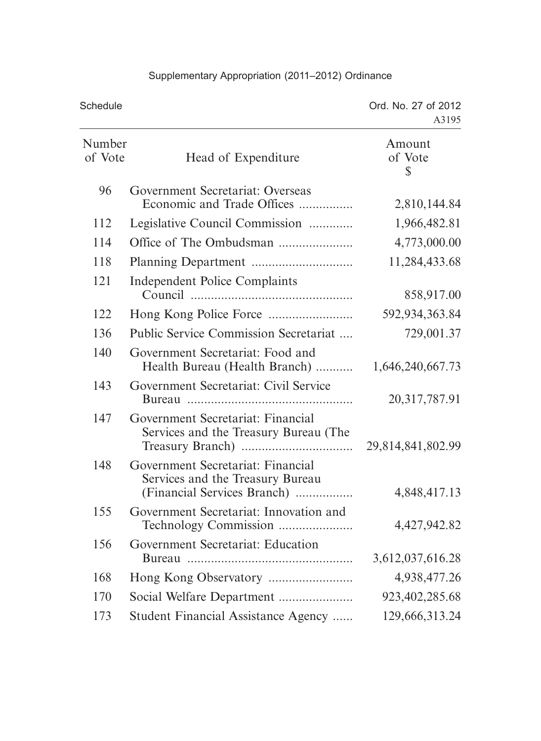## Supplementary Appropriation (2011–2012) Ordinance

| <b>Schedule</b>   |                                                                                                      | Ord. No. 27 of 2012<br>A3195 |  |
|-------------------|------------------------------------------------------------------------------------------------------|------------------------------|--|
| Number<br>of Vote | Head of Expenditure                                                                                  | Amount<br>of Vote<br>S       |  |
| 96                | Government Secretariat: Overseas<br>Economic and Trade Offices                                       | 2,810,144.84                 |  |
| 112               | Legislative Council Commission                                                                       | 1,966,482.81                 |  |
| 114               |                                                                                                      | 4,773,000.00                 |  |
| 118               |                                                                                                      | 11,284,433.68                |  |
| 121               | <b>Independent Police Complaints</b>                                                                 | 858,917.00                   |  |
| 122               |                                                                                                      | 592,934,363.84               |  |
| 136               | <b>Public Service Commission Secretariat </b>                                                        | 729,001.37                   |  |
| 140               | Government Secretariat: Food and<br>Health Bureau (Health Branch)                                    | 1,646,240,667.73             |  |
| 143               | Government Secretariat: Civil Service                                                                | 20, 317, 787. 91             |  |
| 147               | Government Secretariat: Financial<br>Services and the Treasury Bureau (The                           | 29,814,841,802.99            |  |
| 148               | Government Secretariat: Financial<br>Services and the Treasury Bureau<br>(Financial Services Branch) | 4,848,417.13                 |  |
| 155               | Government Secretariat: Innovation and                                                               | 4,427,942.82                 |  |
| 156               | Government Secretariat: Education                                                                    | 3,612,037,616.28             |  |
| 168               |                                                                                                      | 4,938,477.26                 |  |
| 170               | Social Welfare Department                                                                            | 923,402,285.68               |  |
| 173               | Student Financial Assistance Agency                                                                  | 129,666,313.24               |  |